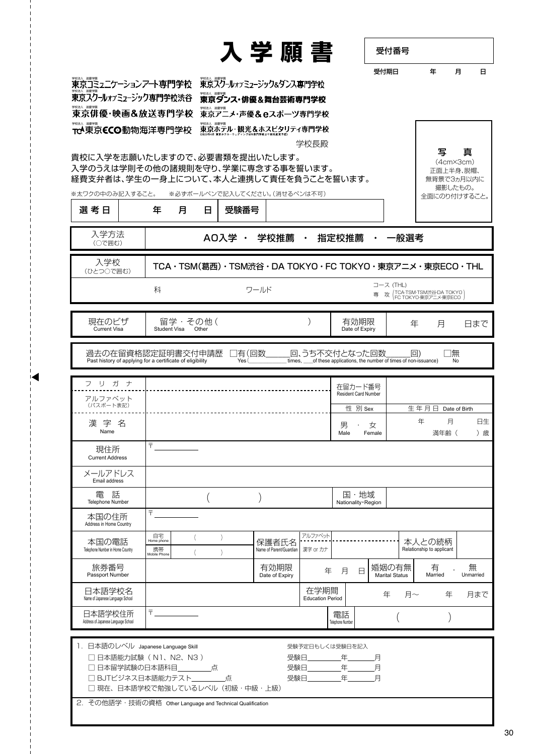|                                                                                                                                 |                                                                                                            |                  | 入学願書                                                |                                 |                              | 受付番号                                                                     |                                                             |                                                                               |                |
|---------------------------------------------------------------------------------------------------------------------------------|------------------------------------------------------------------------------------------------------------|------------------|-----------------------------------------------------|---------------------------------|------------------------------|--------------------------------------------------------------------------|-------------------------------------------------------------|-------------------------------------------------------------------------------|----------------|
|                                                                                                                                 |                                                                                                            |                  |                                                     |                                 |                              | 受付期日                                                                     |                                                             | 年                                                                             | 月              |
|                                                                                                                                 |                                                                                                            |                  | 東京スグールォフミューシック&タンス専門学校                              |                                 |                              |                                                                          |                                                             |                                                                               |                |
| 東京スクールォフミューシック専門学校渋谷                                                                                                            |                                                                                                            |                  |                                                     |                                 |                              |                                                                          |                                                             |                                                                               |                |
| 東京俳優・映画&放送専門学校                                                                                                                  |                                                                                                            |                  | 東京アニメ・声優&eスポーツ専門学校                                  |                                 |                              |                                                                          |                                                             |                                                                               |                |
| TCA東京CCO動物海洋専門学校                                                                                                                |                                                                                                            |                  | 東京ホテル・観光&ホスピタリティ専門学校                                | 学校長殿                            |                              |                                                                          |                                                             |                                                                               |                |
| 貴校に入学を志願いたしますので、必要書類を提出いたします。<br>入学のうえは学則その他の諸規則を守り、学業に専念する事を誓います。<br>経費支弁者は、学生の一身上について、本人と連携して責任を負うことを誓います。<br>※太ワクの中のみ記入すること。 |                                                                                                            |                  | ※必ずボールペンで記入してください。(消せるペンは不可)                        |                                 |                              |                                                                          |                                                             | 写<br>$(4cm \times 3cm)$<br>正面上半身、脱帽、<br>無背景で3ヵ月以内に<br>撮影したもの。<br>全面にのり付けすること。 | 真              |
| 選考日                                                                                                                             | 年<br>月                                                                                                     | 日                | 受験番号                                                |                                 |                              |                                                                          |                                                             |                                                                               |                |
| 入学方法<br>(○で囲む)                                                                                                                  |                                                                                                            |                  | AO入学 · 学校推薦 ·                                       |                                 |                              | 指定校推薦 ・ 一般選考                                                             |                                                             |                                                                               |                |
| 入学校<br>(ひとつ○で囲む)                                                                                                                |                                                                                                            |                  | TCA・TSM(葛西)・TSM渋谷・DA TOKYO・FC TOKYO・東京アニメ・東京ECO・THL |                                 |                              |                                                                          |                                                             |                                                                               |                |
|                                                                                                                                 | 科                                                                                                          |                  | ワールド                                                |                                 |                              | コース (THL)<br>攻                                                           | TCA·TSM·TSM渋谷·DA TOKYO <sup>1</sup><br>FC TOKYO·東京アニメ·東京ECO |                                                                               |                |
| 現在のビザ<br><b>Current Visa</b>                                                                                                    | 留学・その他 (<br>Student Visa                                                                                   | Other            |                                                     |                                 | 有効期限<br>Date of Expiry       |                                                                          | 年                                                           | 月                                                                             | 日まで            |
|                                                                                                                                 |                                                                                                            |                  |                                                     |                                 |                              |                                                                          |                                                             |                                                                               |                |
| 過去の在留資格認定証明書交付申請歴<br>Past history of applying for a certificate of eligibility                                                  |                                                                                                            |                  | ]有(回数<br>Yes(                                       |                                 | 回、うち不交付となった回数                | times, _____ of these applications, the number of times of non-issuance) | $\Box$ )                                                    | □無<br>No                                                                      |                |
| フリガナ                                                                                                                            |                                                                                                            |                  |                                                     |                                 | 在留カード番号                      |                                                                          |                                                             |                                                                               |                |
| アルファベット<br>(パスポート表記)                                                                                                            |                                                                                                            |                  |                                                     |                                 | Resident Card Number         |                                                                          |                                                             |                                                                               |                |
|                                                                                                                                 |                                                                                                            |                  |                                                     |                                 | 性 別 Sex                      |                                                                          | 生年月日<br>年                                                   | 月                                                                             | Date of Birth  |
|                                                                                                                                 |                                                                                                            |                  |                                                     |                                 |                              |                                                                          |                                                             |                                                                               |                |
| 漢字名<br>Name                                                                                                                     |                                                                                                            |                  |                                                     |                                 | 男<br>Male Female             | 女                                                                        |                                                             | 満年齢 (                                                                         |                |
| 現住所<br><b>Current Address</b>                                                                                                   | 〒                                                                                                          |                  |                                                     |                                 |                              |                                                                          |                                                             |                                                                               |                |
| メールアドレス<br>Email address                                                                                                        |                                                                                                            |                  |                                                     |                                 |                              |                                                                          |                                                             |                                                                               |                |
| 電話<br><b>Telephone Number</b>                                                                                                   |                                                                                                            |                  |                                                     |                                 | 国・地域<br>Nationality · Region |                                                                          |                                                             |                                                                               |                |
| 本国の住所<br>Address in Home Country                                                                                                | 〒                                                                                                          |                  |                                                     |                                 |                              |                                                                          |                                                             |                                                                               |                |
| 本国の電話<br>Telephone Number in Home Country                                                                                       | 自宅<br>Home phone<br>携帯<br>Mobile Phone                                                                     | $\left( \right)$ | 保護者氏名<br>Name of Parent/Guardian                    | アルファベット<br>漢字 or カナ             |                              |                                                                          | 本人との続柄<br>Relationship to applicant                         |                                                                               |                |
| 旅券番号<br>Passport Number                                                                                                         |                                                                                                            |                  | 有効期限<br>Date of Expiry                              | 年                               | 月<br>日                       | 婚姻の有無<br><b>Marital Status</b>                                           |                                                             | 有<br>Married                                                                  | 無<br>Unmarried |
| 日本語学校名<br>Name of Japanese Language School                                                                                      |                                                                                                            |                  |                                                     | 在学期間<br><b>Education Period</b> |                              | 年                                                                        | 月~                                                          | 年                                                                             |                |
| 日本語学校住所<br>Address of Japanese Language School                                                                                  | $\overline{\mathsf{T}}\hspace{0.05cm}\underbrace{\hspace{0.05cm}\dots\hspace{0.05cm}\dots\hspace{0.05cm}}$ |                  |                                                     |                                 | 電話<br>Telephone Number       |                                                                          |                                                             |                                                                               | 月まで            |